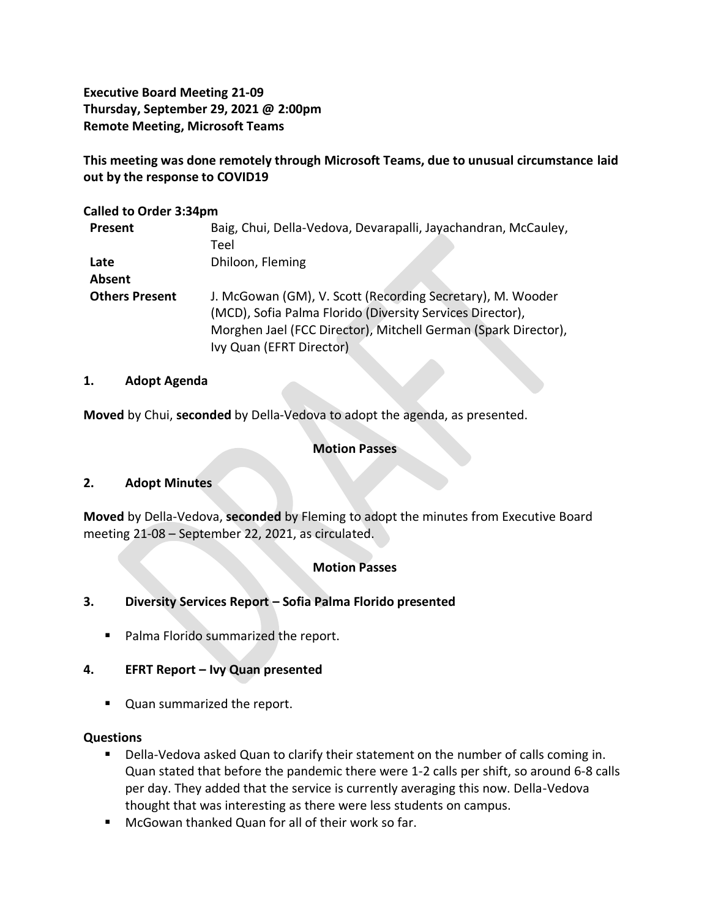**Executive Board Meeting 21-09 Thursday, September 29, 2021 @ 2:00pm Remote Meeting, Microsoft Teams**

**This meeting was done remotely through Microsoft Teams, due to unusual circumstance laid out by the response to COVID19**

#### **Called to Order 3:34pm**

| Present               | Baig, Chui, Della-Vedova, Devarapalli, Jayachandran, McCauley,<br>Teel |
|-----------------------|------------------------------------------------------------------------|
|                       |                                                                        |
| Late                  | Dhiloon, Fleming                                                       |
| Absent                |                                                                        |
| <b>Others Present</b> | J. McGowan (GM), V. Scott (Recording Secretary), M. Wooder             |
|                       | (MCD), Sofia Palma Florido (Diversity Services Director),              |
|                       | Morghen Jael (FCC Director), Mitchell German (Spark Director),         |
|                       | Ivy Quan (EFRT Director)                                               |

#### **1. Adopt Agenda**

**Moved** by Chui, **seconded** by Della-Vedova to adopt the agenda, as presented.

### **Motion Passes**

### **2. Adopt Minutes**

**Moved** by Della-Vedova, **seconded** by Fleming to adopt the minutes from Executive Board meeting 21-08 – September 22, 2021, as circulated.

## **Motion Passes**

### **3. Diversity Services Report – Sofia Palma Florido presented**

■ Palma Florido summarized the report.

### **4. EFRT Report – Ivy Quan presented**

■ Quan summarized the report.

### **Questions**

- Della-Vedova asked Quan to clarify their statement on the number of calls coming in. Quan stated that before the pandemic there were 1-2 calls per shift, so around 6-8 calls per day. They added that the service is currently averaging this now. Della-Vedova thought that was interesting as there were less students on campus.
- McGowan thanked Quan for all of their work so far.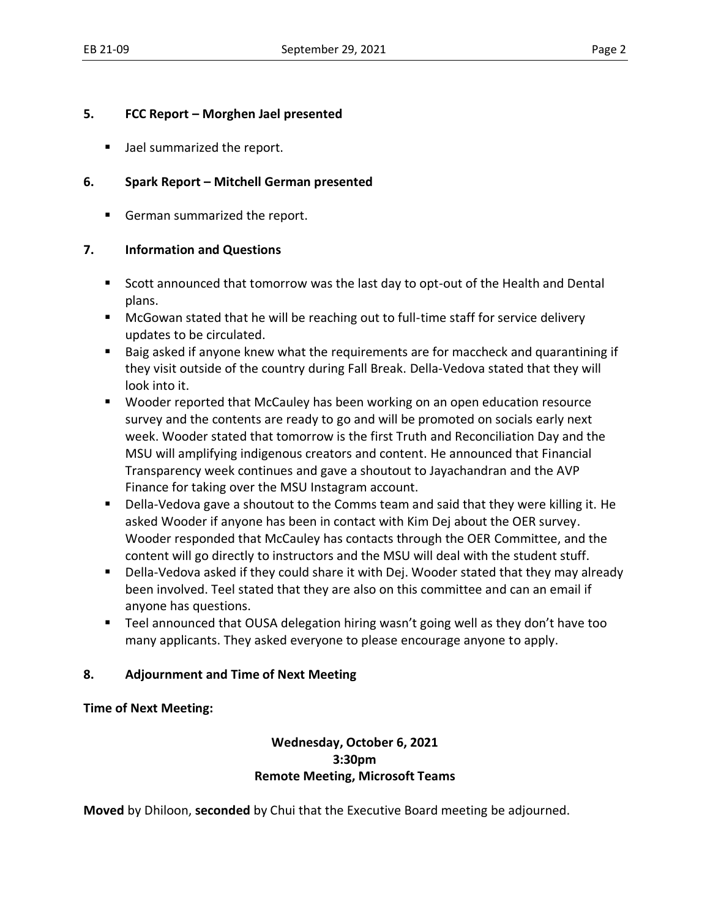## **5. FCC Report – Morghen Jael presented**

■ Jael summarized the report.

# **6. Spark Report – Mitchell German presented**

■ German summarized the report.

## **7. Information and Questions**

- Scott announced that tomorrow was the last day to opt-out of the Health and Dental plans.
- McGowan stated that he will be reaching out to full-time staff for service delivery updates to be circulated.
- Baig asked if anyone knew what the requirements are for maccheck and quarantining if they visit outside of the country during Fall Break. Della-Vedova stated that they will look into it.
- Wooder reported that McCauley has been working on an open education resource survey and the contents are ready to go and will be promoted on socials early next week. Wooder stated that tomorrow is the first Truth and Reconciliation Day and the MSU will amplifying indigenous creators and content. He announced that Financial Transparency week continues and gave a shoutout to Jayachandran and the AVP Finance for taking over the MSU Instagram account.
- Della-Vedova gave a shoutout to the Comms team and said that they were killing it. He asked Wooder if anyone has been in contact with Kim Dej about the OER survey. Wooder responded that McCauley has contacts through the OER Committee, and the content will go directly to instructors and the MSU will deal with the student stuff.
- Della-Vedova asked if they could share it with Dej. Wooder stated that they may already been involved. Teel stated that they are also on this committee and can an email if anyone has questions.
- Teel announced that OUSA delegation hiring wasn't going well as they don't have too many applicants. They asked everyone to please encourage anyone to apply.

## **8. Adjournment and Time of Next Meeting**

## **Time of Next Meeting:**

## **Wednesday, October 6, 2021 3:30pm Remote Meeting, Microsoft Teams**

**Moved** by Dhiloon, **seconded** by Chui that the Executive Board meeting be adjourned.